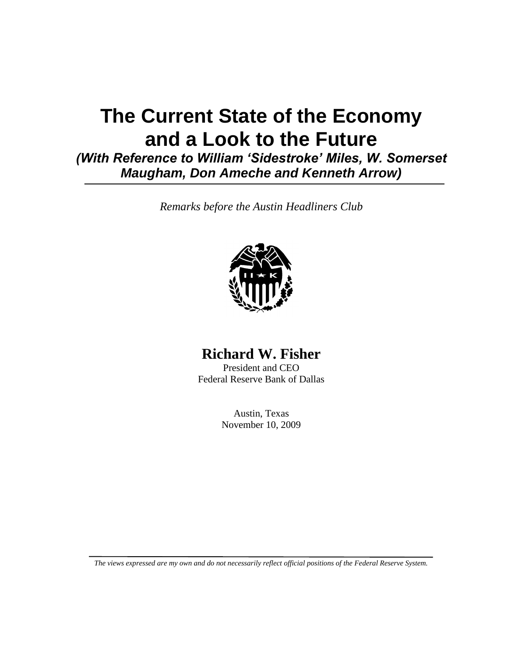# **The Current State of the Economy and a Look to the Future**

*(With Reference to William 'Sidestroke' Miles, W. Somerset Maugham, Don Ameche and Kenneth Arrow)*

*Remarks before the Austin Headliners Club*



## **Richard W. Fisher**

President and CEO Federal Reserve Bank of Dallas

> Austin, Texas November 10, 2009

*The views expressed are my own and do not necessarily reflect official positions of the Federal Reserve System.*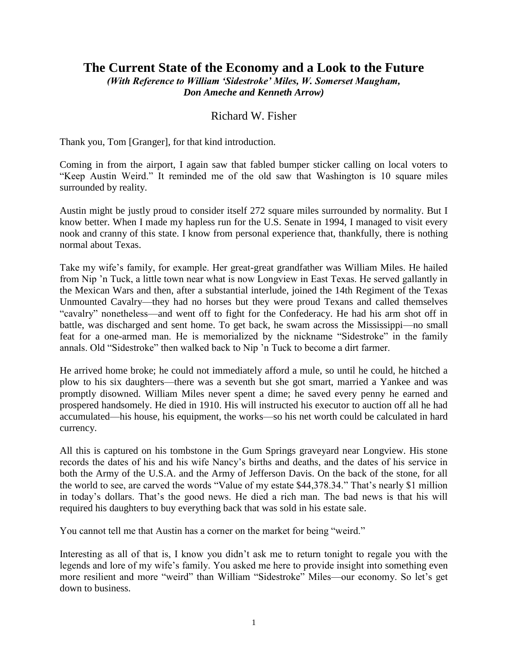## **The Current State of the Economy and a Look to the Future** *(With Reference to William 'Sidestroke' Miles, W. Somerset Maugham,*

*Don Ameche and Kenneth Arrow)*

### Richard W. Fisher

Thank you, Tom [Granger], for that kind introduction.

Coming in from the airport, I again saw that fabled bumper sticker calling on local voters to "Keep Austin Weird." It reminded me of the old saw that Washington is 10 square miles surrounded by reality.

Austin might be justly proud to consider itself 272 square miles surrounded by normality. But I know better. When I made my hapless run for the U.S. Senate in 1994, I managed to visit every nook and cranny of this state. I know from personal experience that, thankfully, there is nothing normal about Texas.

Take my wife's family, for example. Her great-great grandfather was William Miles. He hailed from Nip 'n Tuck, a little town near what is now Longview in East Texas. He served gallantly in the Mexican Wars and then, after a substantial interlude, joined the 14th Regiment of the Texas Unmounted Cavalry—they had no horses but they were proud Texans and called themselves "cavalry" nonetheless—and went off to fight for the Confederacy. He had his arm shot off in battle, was discharged and sent home. To get back, he swam across the Mississippi—no small feat for a one-armed man. He is memorialized by the nickname "Sidestroke" in the family annals. Old "Sidestroke" then walked back to Nip 'n Tuck to become a dirt farmer.

He arrived home broke; he could not immediately afford a mule, so until he could, he hitched a plow to his six daughters—there was a seventh but she got smart, married a Yankee and was promptly disowned. William Miles never spent a dime; he saved every penny he earned and prospered handsomely. He died in 1910. His will instructed his executor to auction off all he had accumulated—his house, his equipment, the works—so his net worth could be calculated in hard currency.

All this is captured on his tombstone in the Gum Springs graveyard near Longview. His stone records the dates of his and his wife Nancy's births and deaths, and the dates of his service in both the Army of the U.S.A. and the Army of Jefferson Davis. On the back of the stone, for all the world to see, are carved the words "Value of my estate \$44,378.34." That's nearly \$1 million in today's dollars. That's the good news. He died a rich man. The bad news is that his will required his daughters to buy everything back that was sold in his estate sale.

You cannot tell me that Austin has a corner on the market for being "weird."

Interesting as all of that is, I know you didn't ask me to return tonight to regale you with the legends and lore of my wife's family. You asked me here to provide insight into something even more resilient and more "weird" than William "Sidestroke" Miles—our economy. So let's get down to business.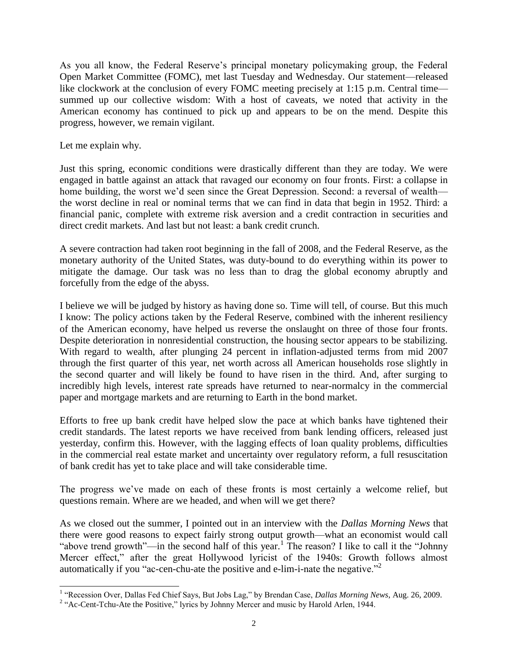As you all know, the Federal Reserve's principal monetary policymaking group, the Federal Open Market Committee (FOMC), met last Tuesday and Wednesday. Our statement—released like clockwork at the conclusion of every FOMC meeting precisely at 1:15 p.m. Central time summed up our collective wisdom: With a host of caveats, we noted that activity in the American economy has continued to pick up and appears to be on the mend. Despite this progress, however, we remain vigilant.

Let me explain why.

l

Just this spring, economic conditions were drastically different than they are today. We were engaged in battle against an attack that ravaged our economy on four fronts. First: a collapse in home building, the worst we'd seen since the Great Depression. Second: a reversal of wealth the worst decline in real or nominal terms that we can find in data that begin in 1952. Third: a financial panic, complete with extreme risk aversion and a credit contraction in securities and direct credit markets. And last but not least: a bank credit crunch.

A severe contraction had taken root beginning in the fall of 2008, and the Federal Reserve, as the monetary authority of the United States, was duty-bound to do everything within its power to mitigate the damage. Our task was no less than to drag the global economy abruptly and forcefully from the edge of the abyss.

I believe we will be judged by history as having done so. Time will tell, of course. But this much I know: The policy actions taken by the Federal Reserve, combined with the inherent resiliency of the American economy, have helped us reverse the onslaught on three of those four fronts. Despite deterioration in nonresidential construction, the housing sector appears to be stabilizing. With regard to wealth, after plunging 24 percent in inflation-adjusted terms from mid 2007 through the first quarter of this year, net worth across all American households rose slightly in the second quarter and will likely be found to have risen in the third. And, after surging to incredibly high levels, interest rate spreads have returned to near-normalcy in the commercial paper and mortgage markets and are returning to Earth in the bond market.

Efforts to free up bank credit have helped slow the pace at which banks have tightened their credit standards. The latest reports we have received from bank lending officers, released just yesterday, confirm this. However, with the lagging effects of loan quality problems, difficulties in the commercial real estate market and uncertainty over regulatory reform, a full resuscitation of bank credit has yet to take place and will take considerable time.

The progress we've made on each of these fronts is most certainly a welcome relief, but questions remain. Where are we headed, and when will we get there?

As we closed out the summer, I pointed out in an interview with the *Dallas Morning News* that there were good reasons to expect fairly strong output growth—what an economist would call "above trend growth"—in the second half of this year.<sup>1</sup> The reason? I like to call it the "Johnny" Mercer effect," after the great Hollywood lyricist of the 1940s: Growth follows almost automatically if you "ac-cen-chu-ate the positive and e-lim-i-nate the negative."<sup>2</sup>

<sup>&</sup>lt;sup>1</sup> "Recession Over, Dallas Fed Chief Says, But Jobs Lag," by Brendan Case, *Dallas Morning News*, Aug. 26, 2009.

<sup>&</sup>lt;sup>2</sup> "Ac-Cent-Tchu-Ate the Positive," lyrics by Johnny Mercer and music by Harold Arlen, 1944.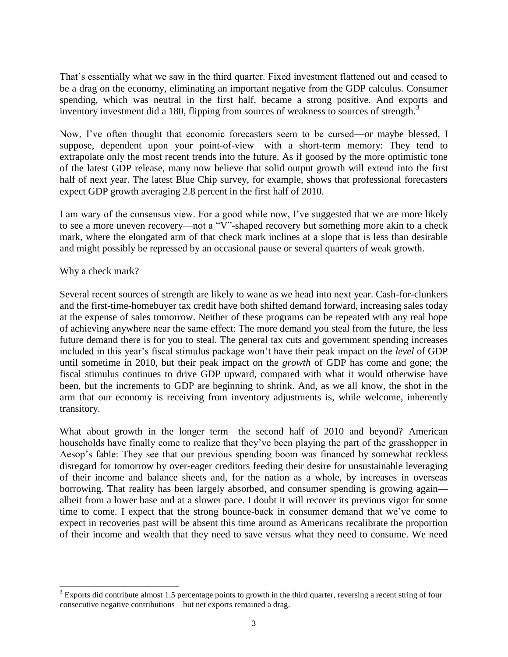That's essentially what we saw in the third quarter. Fixed investment flattened out and ceased to be a drag on the economy, eliminating an important negative from the GDP calculus. Consumer spending, which was neutral in the first half, became a strong positive. And exports and inventory investment did a 180, flipping from sources of weakness to sources of strength.<sup>3</sup>

Now, I've often thought that economic forecasters seem to be cursed—or maybe blessed, I suppose, dependent upon your point-of-view—with a short-term memory: They tend to extrapolate only the most recent trends into the future. As if goosed by the more optimistic tone of the latest GDP release, many now believe that solid output growth will extend into the first half of next year. The latest Blue Chip survey, for example, shows that professional forecasters expect GDP growth averaging 2.8 percent in the first half of 2010.

I am wary of the consensus view. For a good while now, I've suggested that we are more likely to see a more uneven recovery—not a "V"-shaped recovery but something more akin to a check mark, where the elongated arm of that check mark inclines at a slope that is less than desirable and might possibly be repressed by an occasional pause or several quarters of weak growth.

#### Why a check mark?

l

Several recent sources of strength are likely to wane as we head into next year. Cash-for-clunkers and the first-time-homebuyer tax credit have both shifted demand forward, increasing sales today at the expense of sales tomorrow. Neither of these programs can be repeated with any real hope of achieving anywhere near the same effect: The more demand you steal from the future, the less future demand there is for you to steal. The general tax cuts and government spending increases included in this year's fiscal stimulus package won't have their peak impact on the *level* of GDP until sometime in 2010, but their peak impact on the *growth* of GDP has come and gone; the fiscal stimulus continues to drive GDP upward, compared with what it would otherwise have been, but the increments to GDP are beginning to shrink. And, as we all know, the shot in the arm that our economy is receiving from inventory adjustments is, while welcome, inherently transitory.

What about growth in the longer term—the second half of 2010 and beyond? American households have finally come to realize that they've been playing the part of the grasshopper in Aesop's fable: They see that our previous spending boom was financed by somewhat reckless disregard for tomorrow by over-eager creditors feeding their desire for unsustainable leveraging of their income and balance sheets and, for the nation as a whole, by increases in overseas borrowing. That reality has been largely absorbed, and consumer spending is growing again albeit from a lower base and at a slower pace. I doubt it will recover its previous vigor for some time to come. I expect that the strong bounce-back in consumer demand that we've come to expect in recoveries past will be absent this time around as Americans recalibrate the proportion of their income and wealth that they need to save versus what they need to consume. We need

 $3$  Exports did contribute almost 1.5 percentage points to growth in the third quarter, reversing a recent string of four consecutive negative contributions—but net exports remained a drag.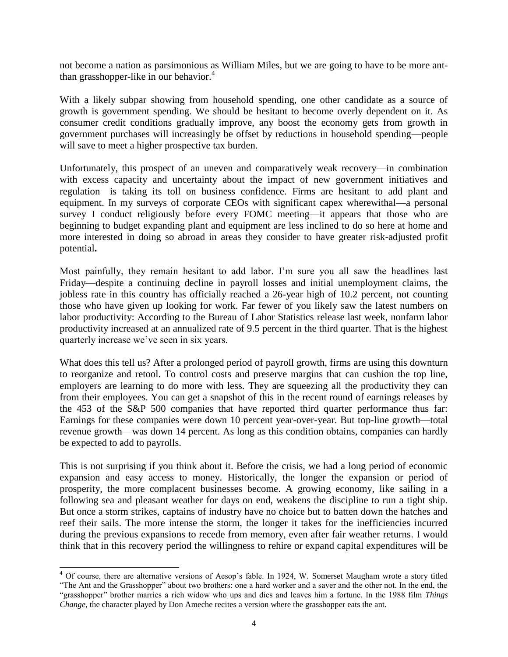not become a nation as parsimonious as William Miles, but we are going to have to be more antthan grasshopper-like in our behavior. $4$ 

With a likely subpar showing from household spending, one other candidate as a source of growth is government spending. We should be hesitant to become overly dependent on it. As consumer credit conditions gradually improve, any boost the economy gets from growth in government purchases will increasingly be offset by reductions in household spending—people will save to meet a higher prospective tax burden.

Unfortunately, this prospect of an uneven and comparatively weak recovery—in combination with excess capacity and uncertainty about the impact of new government initiatives and regulation—is taking its toll on business confidence. Firms are hesitant to add plant and equipment. In my surveys of corporate CEOs with significant capex wherewithal—a personal survey I conduct religiously before every FOMC meeting—it appears that those who are beginning to budget expanding plant and equipment are less inclined to do so here at home and more interested in doing so abroad in areas they consider to have greater risk-adjusted profit potential**.**

Most painfully, they remain hesitant to add labor. I'm sure you all saw the headlines last Friday—despite a continuing decline in payroll losses and initial unemployment claims, the jobless rate in this country has officially reached a 26-year high of 10.2 percent, not counting those who have given up looking for work. Far fewer of you likely saw the latest numbers on labor productivity: According to the Bureau of Labor Statistics release last week, nonfarm labor productivity increased at an annualized rate of 9.5 percent in the third quarter. That is the highest quarterly increase we've seen in six years.

What does this tell us? After a prolonged period of payroll growth, firms are using this downturn to reorganize and retool. To control costs and preserve margins that can cushion the top line, employers are learning to do more with less. They are squeezing all the productivity they can from their employees. You can get a snapshot of this in the recent round of earnings releases by the 453 of the S&P 500 companies that have reported third quarter performance thus far: Earnings for these companies were down 10 percent year-over-year. But top-line growth—total revenue growth—was down 14 percent. As long as this condition obtains, companies can hardly be expected to add to payrolls.

This is not surprising if you think about it. Before the crisis, we had a long period of economic expansion and easy access to money. Historically, the longer the expansion or period of prosperity, the more complacent businesses become. A growing economy, like sailing in a following sea and pleasant weather for days on end, weakens the discipline to run a tight ship. But once a storm strikes, captains of industry have no choice but to batten down the hatches and reef their sails. The more intense the storm, the longer it takes for the inefficiencies incurred during the previous expansions to recede from memory, even after fair weather returns. I would think that in this recovery period the willingness to rehire or expand capital expenditures will be

 $\overline{a}$ 

<sup>&</sup>lt;sup>4</sup> Of course, there are alternative versions of Aesop's fable. In 1924, W. Somerset Maugham wrote a story titled "The Ant and the Grasshopper" about two brothers: one a hard worker and a saver and the other not. In the end, the "grasshopper" brother marries a rich widow who ups and dies and leaves him a fortune. In the 1988 film *Things Change*, the character played by Don Ameche recites a version where the grasshopper eats the ant.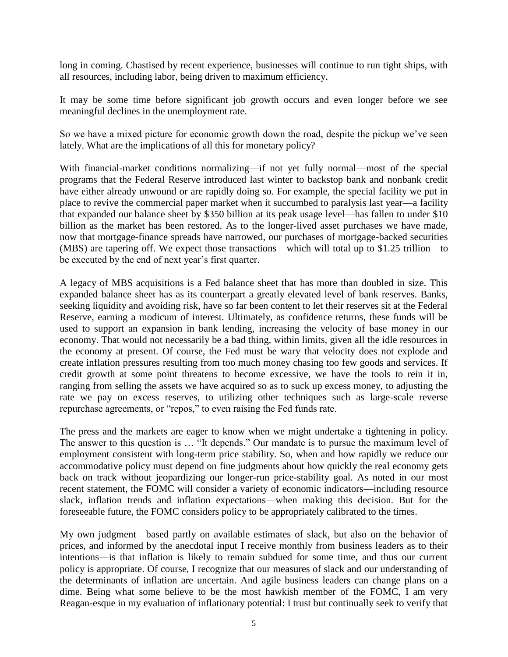long in coming. Chastised by recent experience, businesses will continue to run tight ships, with all resources, including labor, being driven to maximum efficiency.

It may be some time before significant job growth occurs and even longer before we see meaningful declines in the unemployment rate.

So we have a mixed picture for economic growth down the road, despite the pickup we've seen lately. What are the implications of all this for monetary policy?

With financial-market conditions normalizing—if not yet fully normal—most of the special programs that the Federal Reserve introduced last winter to backstop bank and nonbank credit have either already unwound or are rapidly doing so. For example, the special facility we put in place to revive the commercial paper market when it succumbed to paralysis last year—a facility that expanded our balance sheet by \$350 billion at its peak usage level—has fallen to under \$10 billion as the market has been restored. As to the longer-lived asset purchases we have made, now that mortgage-finance spreads have narrowed, our purchases of mortgage-backed securities (MBS) are tapering off. We expect those transactions—which will total up to \$1.25 trillion—to be executed by the end of next year's first quarter.

A legacy of MBS acquisitions is a Fed balance sheet that has more than doubled in size. This expanded balance sheet has as its counterpart a greatly elevated level of bank reserves. Banks, seeking liquidity and avoiding risk, have so far been content to let their reserves sit at the Federal Reserve, earning a modicum of interest. Ultimately, as confidence returns, these funds will be used to support an expansion in bank lending, increasing the velocity of base money in our economy. That would not necessarily be a bad thing, within limits, given all the idle resources in the economy at present. Of course, the Fed must be wary that velocity does not explode and create inflation pressures resulting from too much money chasing too few goods and services. If credit growth at some point threatens to become excessive, we have the tools to rein it in, ranging from selling the assets we have acquired so as to suck up excess money, to adjusting the rate we pay on excess reserves, to utilizing other techniques such as large-scale reverse repurchase agreements, or "repos," to even raising the Fed funds rate.

The press and the markets are eager to know when we might undertake a tightening in policy. The answer to this question is … "It depends." Our mandate is to pursue the maximum level of employment consistent with long-term price stability. So, when and how rapidly we reduce our accommodative policy must depend on fine judgments about how quickly the real economy gets back on track without jeopardizing our longer-run price-stability goal. As noted in our most recent statement, the FOMC will consider a variety of economic indicators—including resource slack, inflation trends and inflation expectations—when making this decision. But for the foreseeable future, the FOMC considers policy to be appropriately calibrated to the times.

My own judgment—based partly on available estimates of slack, but also on the behavior of prices, and informed by the anecdotal input I receive monthly from business leaders as to their intentions—is that inflation is likely to remain subdued for some time, and thus our current policy is appropriate. Of course, I recognize that our measures of slack and our understanding of the determinants of inflation are uncertain. And agile business leaders can change plans on a dime. Being what some believe to be the most hawkish member of the FOMC, I am very Reagan-esque in my evaluation of inflationary potential: I trust but continually seek to verify that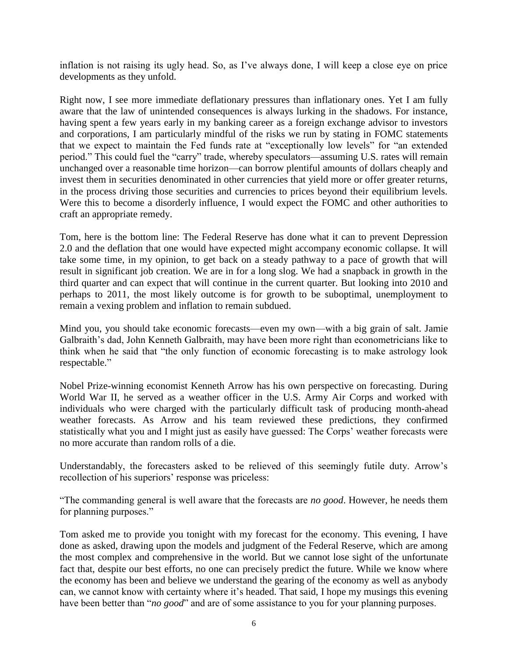inflation is not raising its ugly head. So, as I've always done, I will keep a close eye on price developments as they unfold.

Right now, I see more immediate deflationary pressures than inflationary ones. Yet I am fully aware that the law of unintended consequences is always lurking in the shadows. For instance, having spent a few years early in my banking career as a foreign exchange advisor to investors and corporations, I am particularly mindful of the risks we run by stating in FOMC statements that we expect to maintain the Fed funds rate at "exceptionally low levels" for "an extended period." This could fuel the "carry" trade, whereby speculators—assuming U.S. rates will remain unchanged over a reasonable time horizon—can borrow plentiful amounts of dollars cheaply and invest them in securities denominated in other currencies that yield more or offer greater returns, in the process driving those securities and currencies to prices beyond their equilibrium levels. Were this to become a disorderly influence, I would expect the FOMC and other authorities to craft an appropriate remedy.

Tom, here is the bottom line: The Federal Reserve has done what it can to prevent Depression 2.0 and the deflation that one would have expected might accompany economic collapse. It will take some time, in my opinion, to get back on a steady pathway to a pace of growth that will result in significant job creation. We are in for a long slog. We had a snapback in growth in the third quarter and can expect that will continue in the current quarter. But looking into 2010 and perhaps to 2011, the most likely outcome is for growth to be suboptimal, unemployment to remain a vexing problem and inflation to remain subdued.

Mind you, you should take economic forecasts—even my own—with a big grain of salt. Jamie Galbraith's dad, John Kenneth Galbraith, may have been more right than econometricians like to think when he said that "the only function of economic forecasting is to make astrology look respectable."

Nobel Prize-winning economist Kenneth Arrow has his own perspective on forecasting. During World War II, he served as a weather officer in the U.S. Army Air Corps and worked with individuals who were charged with the particularly difficult task of producing month-ahead weather forecasts. As Arrow and his team reviewed these predictions, they confirmed statistically what you and I might just as easily have guessed: The Corps' weather forecasts were no more accurate than random rolls of a die.

Understandably, the forecasters asked to be relieved of this seemingly futile duty. Arrow's recollection of his superiors' response was priceless:

"The commanding general is well aware that the forecasts are *no good*. However, he needs them for planning purposes."

Tom asked me to provide you tonight with my forecast for the economy. This evening, I have done as asked, drawing upon the models and judgment of the Federal Reserve, which are among the most complex and comprehensive in the world. But we cannot lose sight of the unfortunate fact that, despite our best efforts, no one can precisely predict the future. While we know where the economy has been and believe we understand the gearing of the economy as well as anybody can, we cannot know with certainty where it's headed. That said, I hope my musings this evening have been better than "*no good*" and are of some assistance to you for your planning purposes.